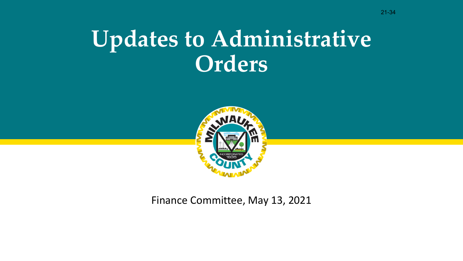## **Updates to Administrative Orders**



Finance Committee, May 13, 2021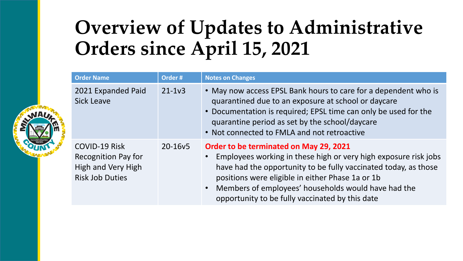## **Overview of Updates to Administrative Orders since April 15, 2021**

| <b>Order Name</b>                                                                                  | Order #   | <b>Notes on Changes</b>                                                                                                                                                                                                                                                                                                                        |  |
|----------------------------------------------------------------------------------------------------|-----------|------------------------------------------------------------------------------------------------------------------------------------------------------------------------------------------------------------------------------------------------------------------------------------------------------------------------------------------------|--|
| 2021 Expanded Paid<br><b>Sick Leave</b>                                                            | $21 - 12$ | • May now access EPSL Bank hours to care for a dependent who is<br>quarantined due to an exposure at school or daycare<br>• Documentation is required; EPSL time can only be used for the<br>quarantine period as set by the school/daycare<br>• Not connected to FMLA and not retroactive                                                     |  |
| <b>COVID-19 Risk</b><br><b>Recognition Pay for</b><br>High and Very High<br><b>Risk Job Duties</b> | 20-16v5   | Order to be terminated on May 29, 2021<br>• Employees working in these high or very high exposure risk jobs<br>have had the opportunity to be fully vaccinated today, as those<br>positions were eligible in either Phase 1a or 1b<br>• Members of employees' households would have had the<br>opportunity to be fully vaccinated by this date |  |